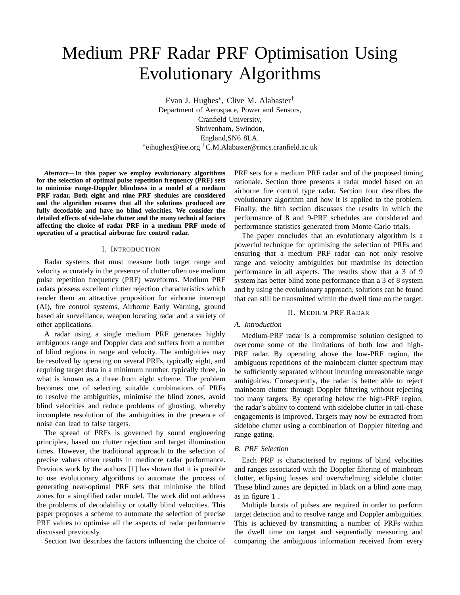# Medium PRF Radar PRF Optimisation Using Evolutionary Algorithms

Evan J. Hughes\*, Clive M. Alabaster<sup>†</sup> Department of Aerospace, Power and Sensors, Cranfield University, Shrivenham, Swindon, England,SN6 8LA. ejhughes@iee.org †C.M.Alabaster@rmcs.cranfield.ac.uk

*Abstract***— In this paper we employ evolutionary algorithms for the selection of optimal pulse repetition frequency (PRF) sets to minimise range-Doppler blindness in a model of a medium PRF radar. Both eight and nine PRF shedules are considered and the algorithm ensures that all the solutions produced are fully decodable and have no blind velocities. We consider the detailed effects of side-lobe clutter and the many technical factors affecting the choice of radar PRF in a medium PRF mode of operation of a practical airborne fire control radar.**

#### I. INTRODUCTION

Radar systems that must measure both target range and velocity accurately in the presence of clutter often use medium pulse repetition frequency (PRF) waveforms. Medium PRF radars possess excellent clutter rejection characteristics which render them an attractive proposition for airborne intercept (AI), fire control systems, Airborne Early Warning, ground based air surveillance, weapon locating radar and a variety of other applications.

A radar using a single medium PRF generates highly ambiguous range and Doppler data and suffers from a number of blind regions in range and velocity. The ambiguities may be resolved by operating on several PRFs, typically eight, and requiring target data in a minimum number, typically three, in what is known as a three from eight scheme. The problem becomes one of selecting suitable combinations of PRFs to resolve the ambiguities, minimise the blind zones, avoid blind velocities and reduce problems of ghosting, whereby incomplete resolution of the ambiguities in the presence of noise can lead to false targets.

The spread of PRFs is governed by sound engineering principles, based on clutter rejection and target illumination times. However, the traditional approach to the selection of precise values often results in mediocre radar performance. Previous work by the authors [1] has shown that it is possible to use evolutionary algorithms to automate the process of generating near-optimal PRF sets that minimise the blind zones for a simplified radar model. The work did not address the problems of decodability or totally blind velocities. This paper proposes a scheme to automate the selection of precise PRF values to optimise all the aspects of radar performance discussed previously.

Section two describes the factors influencing the choice of

PRF sets for a medium PRF radar and of the proposed timing rationale. Section three presents a radar model based on an airborne fire control type radar. Section four describes the evolutionary algorithm and how it is applied to the problem. Finally, the fifth section discusses the results in which the performance of 8 and 9-PRF schedules are considered and performance statistics generated from Monte-Carlo trials.

The paper concludes that an evolutionary algorithm is a powerful technique for optimising the selection of PRFs and ensuring that a medium PRF radar can not only resolve range and velocity ambiguities but maximise its detection performance in all aspects. The results show that a 3 of 9 system has better blind zone performance than a 3 of 8 system and by using the evolutionary approach, solutions can be found that can still be transmitted within the dwell time on the target.

## II. MEDIUM PRF RADAR

# *A. Introduction*

Medium-PRF radar is a compromise solution designed to overcome some of the limitations of both low and high-PRF radar. By operating above the low-PRF region, the ambiguous repetitions of the mainbeam clutter spectrum may be sufficiently separated without incurring unreasonable range ambiguities. Consequently, the radar is better able to reject mainbeam clutter through Doppler filtering without rejecting too many targets. By operating below the high-PRF region, the radar's ability to contend with sidelobe clutter in tail-chase engagements is improved. Targets may now be extracted from sidelobe clutter using a combination of Doppler filtering and range gating.

# *B. PRF Selection*

Each PRF is characterised by regions of blind velocities and ranges associated with the Doppler filtering of mainbeam clutter, eclipsing losses and overwhelming sidelobe clutter. These blind zones are depicted in black on a blind zone map, as in figure 1 .

Multiple bursts of pulses are required in order to perform target detection and to resolve range and Doppler ambiguities. This is achieved by transmitting a number of PRFs within the dwell time on target and sequentially measuring and comparing the ambiguous information received from every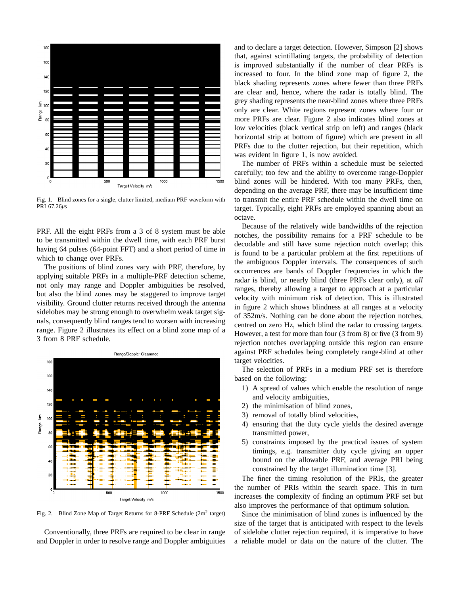

Fig. 1. Blind zones for a single, clutter limited, medium PRF waveform with PRI 67.26*µ*s

PRF. All the eight PRFs from a 3 of 8 system must be able to be transmitted within the dwell time, with each PRF burst having 64 pulses (64-point FFT) and a short period of time in which to change over PRFs.

The positions of blind zones vary with PRF, therefore, by applying suitable PRFs in a multiple-PRF detection scheme, not only may range and Doppler ambiguities be resolved, but also the blind zones may be staggered to improve target visibility. Ground clutter returns received through the antenna sidelobes may be strong enough to overwhelm weak target signals, consequently blind ranges tend to worsen with increasing range. Figure 2 illustrates its effect on a blind zone map of a 3 from 8 PRF schedule.



Fig. 2. Blind Zone Map of Target Returns for 8-PRF Schedule (2m<sup>2</sup> target)

Conventionally, three PRFs are required to be clear in range and Doppler in order to resolve range and Doppler ambiguities

and to declare a target detection. However, Simpson [2] shows that, against scintillating targets, the probability of detection is improved substantially if the number of clear PRFs is increased to four. In the blind zone map of figure 2, the black shading represents zones where fewer than three PRFs are clear and, hence, where the radar is totally blind. The grey shading represents the near-blind zones where three PRFs only are clear. White regions represent zones where four or more PRFs are clear. Figure 2 also indicates blind zones at low velocities (black vertical strip on left) and ranges (black horizontal strip at bottom of figure) which are present in all PRFs due to the clutter rejection, but their repetition, which was evident in figure 1, is now avoided.

The number of PRFs within a schedule must be selected carefully; too few and the ability to overcome range-Doppler blind zones will be hindered. With too many PRFs, then, depending on the average PRF, there may be insufficient time to transmit the entire PRF schedule within the dwell time on target. Typically, eight PRFs are employed spanning about an octave.

Because of the relatively wide bandwidths of the rejection notches, the possibility remains for a PRF schedule to be decodable and still have some rejection notch overlap; this is found to be a particular problem at the first repetitions of the ambiguous Doppler intervals. The consequences of such occurrences are bands of Doppler frequencies in which the radar is blind, or nearly blind (three PRFs clear only), at *all* ranges, thereby allowing a target to approach at a particular velocity with minimum risk of detection. This is illustrated in figure 2 which shows blindness at all ranges at a velocity of 352m/s. Nothing can be done about the rejection notches, centred on zero Hz, which blind the radar to crossing targets. However, a test for more than four (3 from 8) or five (3 from 9) rejection notches overlapping outside this region can ensure against PRF schedules being completely range-blind at other target velocities.

The selection of PRFs in a medium PRF set is therefore based on the following:

- 1) A spread of values which enable the resolution of range and velocity ambiguities,
- 2) the minimisation of blind zones,
- 3) removal of totally blind velocities,
- 4) ensuring that the duty cycle yields the desired average transmitted power,
- 5) constraints imposed by the practical issues of system timings, e.g. transmitter duty cycle giving an upper bound on the allowable PRF, and average PRI being constrained by the target illumination time [3].

The finer the timing resolution of the PRIs, the greater the number of PRIs within the search space. This in turn increases the complexity of finding an optimum PRF set but also improves the performance of that optimum solution.

Since the minimisation of blind zones is influenced by the size of the target that is anticipated with respect to the levels of sidelobe clutter rejection required, it is imperative to have a reliable model or data on the nature of the clutter. The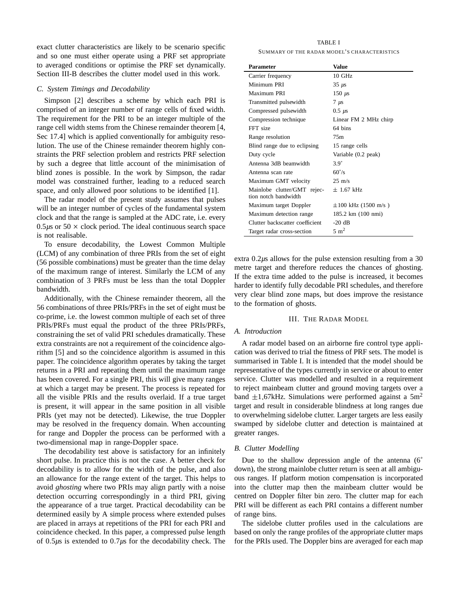exact clutter characteristics are likely to be scenario specific and so one must either operate using a PRF set appropriate to averaged conditions or optimise the PRF set dynamically. Section III-B describes the clutter model used in this work.

## *C. System Timings and Decodability*

Simpson [2] describes a scheme by which each PRI is comprised of an integer number of range cells of fixed width. The requirement for the PRI to be an integer multiple of the range cell width stems from the Chinese remainder theorem [4, Sec 17.4] which is applied conventionally for ambiguity resolution. The use of the Chinese remainder theorem highly constraints the PRF selection problem and restricts PRF selection by such a degree that little account of the minimisation of blind zones is possible. In the work by Simpson, the radar model was constrained further, leading to a reduced search space, and only allowed poor solutions to be identified [1].

The radar model of the present study assumes that pulses will be an integer number of cycles of the fundamental system clock and that the range is sampled at the ADC rate, i.e. every 0.5 $\mu$ s or 50  $\times$  clock period. The ideal continuous search space is not realisable.

To ensure decodability, the Lowest Common Multiple (LCM) of any combination of three PRIs from the set of eight (56 possible combinations) must be greater than the time delay of the maximum range of interest. Similarly the LCM of any combination of 3 PRFs must be less than the total Doppler bandwidth.

Additionally, with the Chinese remainder theorem, all the 56 combinations of three PRIs/PRFs in the set of eight must be co-prime, i.e. the lowest common multiple of each set of three PRIs/PRFs must equal the product of the three PRIs/PRFs, constraining the set of valid PRI schedules dramatically. These extra constraints are not a requirement of the coincidence algorithm [5] and so the coincidence algorithm is assumed in this paper. The coincidence algorithm operates by taking the target returns in a PRI and repeating them until the maximum range has been covered. For a single PRI, this will give many ranges at which a target may be present. The process is repeated for all the visible PRIs and the results overlaid. If a true target is present, it will appear in the same position in all visible PRIs (yet may not be detected). Likewise, the true Doppler may be resolved in the frequency domain. When accounting for range and Doppler the process can be performed with a two-dimensional map in range-Doppler space.

The decodability test above is satisfactory for an infinitely short pulse. In practice this is not the case. A better check for decodability is to allow for the width of the pulse, and also an allowance for the range extent of the target. This helps to avoid *ghosting* where two PRIs may align partly with a noise detection occurring correspondingly in a third PRI, giving the appearance of a true target. Practical decodability can be determined easily by A simple process where extended pulses are placed in arrays at repetitions of the PRI for each PRI and coincidence checked. In this paper, a compressed pulse length of 0 - 5*µ*s is extended to 0 - 7*µ*s for the decodability check. The

TABLE I SUMMARY OF THE RADAR MODEL'S CHARACTERISTICS

| Parameter                                           | Value                    |
|-----------------------------------------------------|--------------------------|
| Carrier frequency                                   | $10 \text{ GHz}$         |
| Minimum PRI                                         | $35 \mu s$               |
| Maximum PRI                                         | 150 $\mu$ s              |
| Transmitted pulsewidth                              | $7 \mu s$                |
| Compressed pulsewidth                               | $0.5 \mu s$              |
| Compression technique                               | Linear FM 2 MHz chirp    |
| FFT size                                            | 64 hins                  |
| Range resolution                                    | 75m                      |
| Blind range due to eclipsing                        | 15 range cells           |
| Duty cycle                                          | Variable (0.2 peak)      |
| Antenna 3dB beamwidth                               | $3.9^\circ$              |
| Antenna scan rate                                   | $60^{\circ}/s$           |
| Maximum GMT velocity                                | $25 \text{ m/s}$         |
| Mainlobe clutter/GMT rejec-<br>tion notch bandwidth | $+1.67$ kHz              |
| Maximum target Doppler                              | $\pm 100$ kHz (1500 m/s) |
| Maximum detection range.                            | 185.2 km (100 nmi)       |
| Clutter backscatter coefficient                     | $-20 dB$                 |
| Target radar cross-section                          | $5 \text{ m}^2$          |

extra  $0.2\mu s$  allows for the pulse extension resulting from a 30 metre target and therefore reduces the chances of ghosting. If the extra time added to the pulse is increased, it becomes harder to identify fully decodable PRI schedules, and therefore very clear blind zone maps, but does improve the resistance to the formation of ghosts.

#### III. THE RADAR MODEL

# *A. Introduction*

A radar model based on an airborne fire control type application was derived to trial the fitness of PRF sets. The model is summarised in Table I. It is intended that the model should be representative of the types currently in service or about to enter service. Clutter was modelled and resulted in a requirement to reject mainbeam clutter and ground moving targets over a band  $\pm 1.67$ kHz. Simulations were performed against a  $5m<sup>2</sup>$ target and result in considerable blindness at long ranges due to overwhelming sidelobe clutter. Larger targets are less easily swamped by sidelobe clutter and detection is maintained at greater ranges.

## *B. Clutter Modelling*

Due to the shallow depression angle of the antenna (6<sup>°</sup> down), the strong mainlobe clutter return is seen at all ambiguous ranges. If platform motion compensation is incorporated into the clutter map then the mainbeam clutter would be centred on Doppler filter bin zero. The clutter map for each PRI will be different as each PRI contains a different number of range bins.

The sidelobe clutter profiles used in the calculations are based on only the range profiles of the appropriate clutter maps for the PRIs used. The Doppler bins are averaged for each map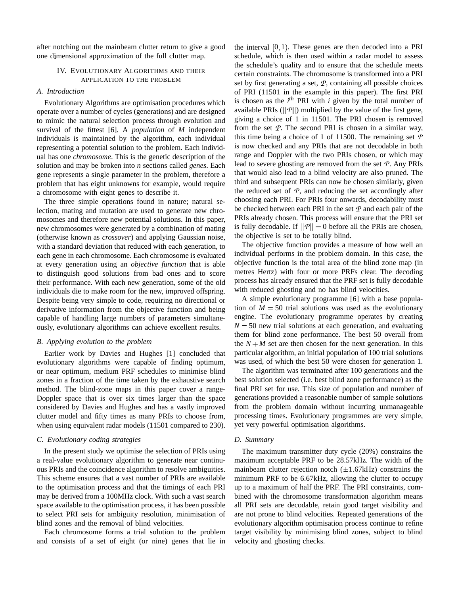after notching out the mainbeam clutter return to give a good one dimensional approximation of the full clutter map.

# IV. EVOLUTIONARY ALGORITHMS AND THEIR APPLICATION TO THE PROBLEM

# *A. Introduction*

Evolutionary Algorithms are optimisation procedures which operate over a number of cycles (generations) and are designed to mimic the natural selection process through evolution and survival of the fittest [6]. A *population* of *M* independent individuals is maintained by the algorithm, each individual representing a potential solution to the problem. Each individual has one *chromosome*. This is the genetic description of the solution and may be broken into *n* sections called *genes*. Each gene represents a single parameter in the problem, therefore a problem that has eight unknowns for example, would require a chromosome with eight genes to describe it.

The three simple operations found in nature; natural selection, mating and mutation are used to generate new chromosomes and therefore new potential solutions. In this paper, new chromosomes were generated by a combination of mating (otherwise known as *crossover*) and applying Gaussian noise, with a standard deviation that reduced with each generation, to each gene in each chromosome. Each chromosome is evaluated at every generation using an *objective function* that is able to distinguish good solutions from bad ones and to score their performance. With each new generation, some of the old individuals die to make room for the new, improved offspring. Despite being very simple to code, requiring no directional or derivative information from the objective function and being capable of handling large numbers of parameters simultaneously, evolutionary algorithms can achieve excellent results.

# *B. Applying evolution to the problem*

Earlier work by Davies and Hughes [1] concluded that evolutionary algorithms were capable of finding optimum, or near optimum, medium PRF schedules to minimise blind zones in a fraction of the time taken by the exhaustive search method. The blind-zone maps in this paper cover a range-Doppler space that is over six times larger than the space considered by Davies and Hughes and has a vastly improved clutter model and fifty times as many PRIs to choose from, when using equivalent radar models (11501 compared to 230).

#### *C. Evolutionary coding strategies*

In the present study we optimise the selection of PRIs using a real-value evolutionary algorithm to generate near continuous PRIs and the coincidence algorithm to resolve ambiguities. This scheme ensures that a vast number of PRIs are available to the optimisation process and that the timings of each PRI may be derived from a 100MHz clock. With such a vast search space available to the optimisation process, it has been possible to select PRI sets for ambiguity resolution, minimisation of blind zones and the removal of blind velocities.

Each chromosome forms a trial solution to the problem and consists of a set of eight (or nine) genes that lie in the interval  $[0, 1)$ . These genes are then decoded into a PRI schedule, which is then used within a radar model to assess the schedule's quality and to ensure that the schedule meets certain constraints. The chromosome is transformed into a PRI set by first generating a set,  $P$ , containing all possible choices of PRI (11501 in the example in this paper). The first PRI is chosen as the  $i^{th}$  PRI with *i* given by the total number of available PRIs ( $\|\vartheta\|$ ) multiplied by the value of the first gene, giving a choice of 1 in 11501. The PRI chosen is removed from the set  $P$ . The second PRI is chosen in a similar way, this time being a choice of 1 of 11500. The remaining set  $P$ is now checked and any PRIs that are not decodable in both range and Doppler with the two PRIs chosen, or which may lead to severe ghosting are removed from the set  $P$ . Any PRIs that would also lead to a blind velocity are also pruned. The third and subsequent PRIs can now be chosen similarly, given the reduced set of  $P$ , and reducing the set accordingly after choosing each PRI. For PRIs four onwards, decodability must be checked between each PRI in the set  $P$  and each pair of the PRIs already chosen. This process will ensure that the PRI set is fully decodable. If  $||P|| = 0$  before all the PRIs are chosen, the objective is set to be totally blind.

The objective function provides a measure of how well an individual performs in the problem domain. In this case, the objective function is the total area of the blind zone map (in metres Hertz) with four or more PRFs clear. The decoding process has already ensured that the PRF set is fully decodable with reduced ghosting and no has blind velocities.

A simple evolutionary programme [6] with a base population of  $M = 50$  trial solutions was used as the evolutionary engine. The evolutionary programme operates by creating  $N = 50$  new trial solutions at each generation, and evaluating them for blind zone performance. The best 50 overall from the  $N + M$  set are then chosen for the next generation. In this particular algorithm, an initial population of 100 trial solutions was used, of which the best 50 were chosen for generation 1.

The algorithm was terminated after 100 generations and the best solution selected (i.e. best blind zone performance) as the final PRI set for use. This size of population and number of generations provided a reasonable number of sample solutions from the problem domain without incurring unmanageable processing times. Evolutionary programmes are very simple, yet very powerful optimisation algorithms.

#### *D. Summary*

The maximum transmitter duty cycle (20%) constrains the maximum acceptable PRF to be 28.57kHz. The width of the mainbeam clutter rejection notch  $(\pm 1.67kHz)$  constrains the minimum PRF to be 6.67kHz, allowing the clutter to occupy up to a maximum of half the PRF. The PRI constraints, combined with the chromosome transformation algorithm means all PRI sets are decodable, retain good target visibility and are not prone to blind velocities. Repeated generations of the evolutionary algorithm optimisation process continue to refine target visibility by minimising blind zones, subject to blind velocity and ghosting checks.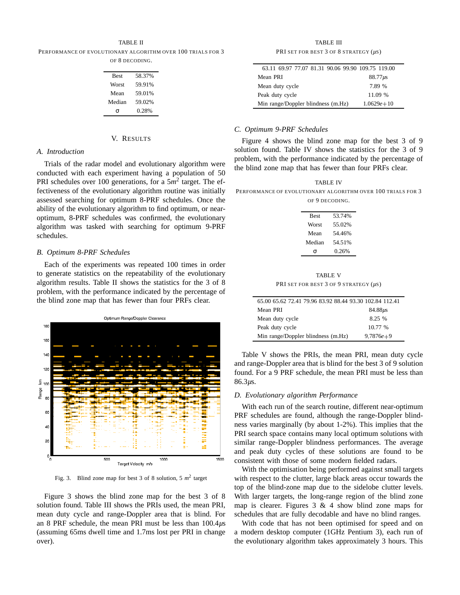#### TABLE II

PERFORMANCE OF EVOLUTIONARY ALGORITHM OVER 100 TRIALS FOR 3 OF 8 DECODING.

| <b>Best</b> | 58.37% |
|-------------|--------|
| Worst       | 59.91% |
| Mean        | 59.01% |
| Median      | 59.02% |
| ი           | 0.28%  |
|             |        |

# V. RESULTS

# *A. Introduction*

Trials of the radar model and evolutionary algorithm were conducted with each experiment having a population of 50 PRI schedules over 100 generations, for a 5*m*<sup>2</sup> target. The effectiveness of the evolutionary algorithm routine was initially assessed searching for optimum 8-PRF schedules. Once the ability of the evolutionary algorithm to find optimum, or nearoptimum, 8-PRF schedules was confirmed, the evolutionary algorithm was tasked with searching for optimum 9-PRF schedules.

# *B. Optimum 8-PRF Schedules*

Each of the experiments was repeated 100 times in order to generate statistics on the repeatability of the evolutionary algorithm results. Table II shows the statistics for the 3 of 8 problem, with the performance indicated by the percentage of the blind zone map that has fewer than four PRFs clear.



Fig. 3. Blind zone map for best 3 of 8 solution, 5  $m^2$  target

Figure 3 shows the blind zone map for the best 3 of 8 solution found. Table III shows the PRIs used, the mean PRI, mean duty cycle and range-Doppler area that is blind. For an 8 PRF schedule, the mean PRI must be less than 100.4*µ*s (assuming 65ms dwell time and 1.7ms lost per PRI in change over).

TABLE III PRI SET FOR BEST 3 OF 8 STRATEGY (*µ*S)

| 63.11 69.97 77.07 81.31 90.06 99.90 109.75 119.00 |                |
|---------------------------------------------------|----------------|
| Mean PRI                                          | $88.77\mu s$   |
| Mean duty cycle                                   | 7.89 %         |
| Peak duty cycle                                   | 11.09 %        |
| Min range/Doppler blindness (m.Hz)                | $1.0629e + 10$ |

# *C. Optimum 9-PRF Schedules*

Figure 4 shows the blind zone map for the best 3 of 9 solution found. Table IV shows the statistics for the 3 of 9 problem, with the performance indicated by the percentage of the blind zone map that has fewer than four PRFs clear.

TABLE IV PERFORMANCE OF EVOLUTIONARY ALGORITHM OVER 100 TRIALS FOR 3 OF 9 DECODING.

| <b>Best</b> | 53.74% |
|-------------|--------|
| Worst       | 55.02% |
| Mean        | 54 46% |
| Median      | 54.51% |
| C)          | 0.26%  |
|             |        |

TABLE V PRI SET FOR BEST 3 OF 9 STRATEGY (*µ*S)

| 65.00 65.62 72.41 79.96 83.92 88.44 93.30 102.84 112.41 |              |
|---------------------------------------------------------|--------------|
| Mean PRI                                                | $84.88\mu s$ |
| Mean duty cycle                                         | 8.25 %       |
| Peak duty cycle                                         | 10.77 %      |
| Min range/Doppler blindness (m.Hz)                      | $9.7876e+9$  |

Table V shows the PRIs, the mean PRI, mean duty cycle and range-Doppler area that is blind for the best 3 of 9 solution found. For a 9 PRF schedule, the mean PRI must be less than 86.3*µ*s.

# *D. Evolutionary algorithm Performance*

With each run of the search routine, different near-optimum PRF schedules are found, although the range-Doppler blindness varies marginally (by about 1-2%). This implies that the PRI search space contains many local optimum solutions with similar range-Doppler blindness performances. The average and peak duty cycles of these solutions are found to be consistent with those of some modern fielded radars.

With the optimisation being performed against small targets with respect to the clutter, large black areas occur towards the top of the blind-zone map due to the sidelobe clutter levels. With larger targets, the long-range region of the blind zone map is clearer. Figures  $3 \& 4$  show blind zone maps for schedules that are fully decodable and have no blind ranges.

With code that has not been optimised for speed and on a modern desktop computer (1GHz Pentium 3), each run of the evolutionary algorithm takes approximately 3 hours. This